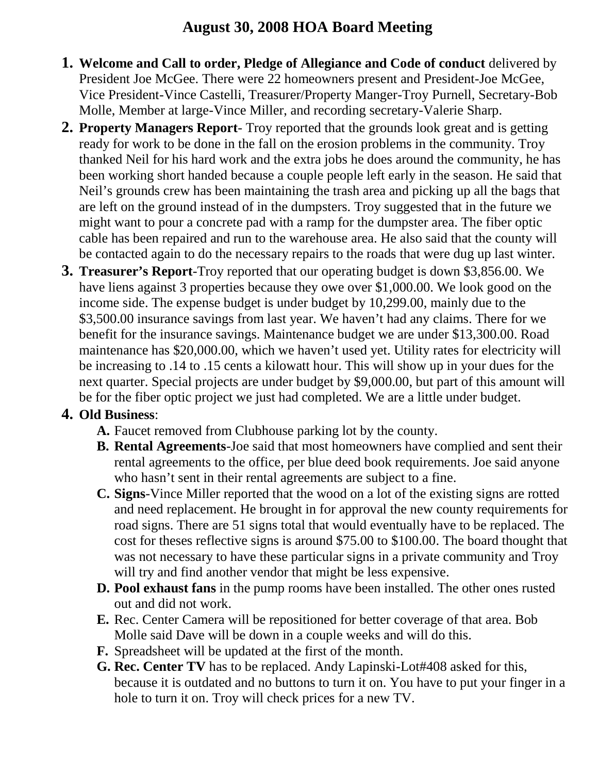## **August 30, 2008 HOA Board Meeting**

- **1. Welcome and Call to order, Pledge of Allegiance and Code of conduct** delivered by President Joe McGee. There were 22 homeowners present and President-Joe McGee, Vice President-Vince Castelli, Treasurer/Property Manger-Troy Purnell, Secretary-Bob Molle, Member at large-Vince Miller, and recording secretary-Valerie Sharp.
- **2. Property Managers Report** Troy reported that the grounds look great and is getting ready for work to be done in the fall on the erosion problems in the community. Troy thanked Neil for his hard work and the extra jobs he does around the community, he has been working short handed because a couple people left early in the season. He said that Neil's grounds crew has been maintaining the trash area and picking up all the bags that are left on the ground instead of in the dumpsters. Troy suggested that in the future we might want to pour a concrete pad with a ramp for the dumpster area. The fiber optic cable has been repaired and run to the warehouse area. He also said that the county will be contacted again to do the necessary repairs to the roads that were dug up last winter.
- **3. Treasurer's Report**-Troy reported that our operating budget is down \$3,856.00. We have liens against 3 properties because they owe over \$1,000.00. We look good on the income side. The expense budget is under budget by 10,299.00, mainly due to the \$3,500.00 insurance savings from last year. We haven't had any claims. There for we benefit for the insurance savings. Maintenance budget we are under \$13,300.00. Road maintenance has \$20,000.00, which we haven't used yet. Utility rates for electricity will be increasing to .14 to .15 cents a kilowatt hour. This will show up in your dues for the next quarter. Special projects are under budget by \$9,000.00, but part of this amount will be for the fiber optic project we just had completed. We are a little under budget.

## **4. Old Business**:

- **A.** Faucet removed from Clubhouse parking lot by the county.
- **B. Rental Agreements**-Joe said that most homeowners have complied and sent their rental agreements to the office, per blue deed book requirements. Joe said anyone who hasn't sent in their rental agreements are subject to a fine.
- **C. Signs**-Vince Miller reported that the wood on a lot of the existing signs are rotted and need replacement. He brought in for approval the new county requirements for road signs. There are 51 signs total that would eventually have to be replaced. The cost for theses reflective signs is around \$75.00 to \$100.00. The board thought that was not necessary to have these particular signs in a private community and Troy will try and find another vendor that might be less expensive.
- **D. Pool exhaust fans** in the pump rooms have been installed. The other ones rusted out and did not work.
- **E.** Rec. Center Camera will be repositioned for better coverage of that area. Bob Molle said Dave will be down in a couple weeks and will do this.
- **F.** Spreadsheet will be updated at the first of the month.
- **G. Rec. Center TV** has to be replaced. Andy Lapinski-Lot#408 asked for this, because it is outdated and no buttons to turn it on. You have to put your finger in a hole to turn it on. Troy will check prices for a new TV.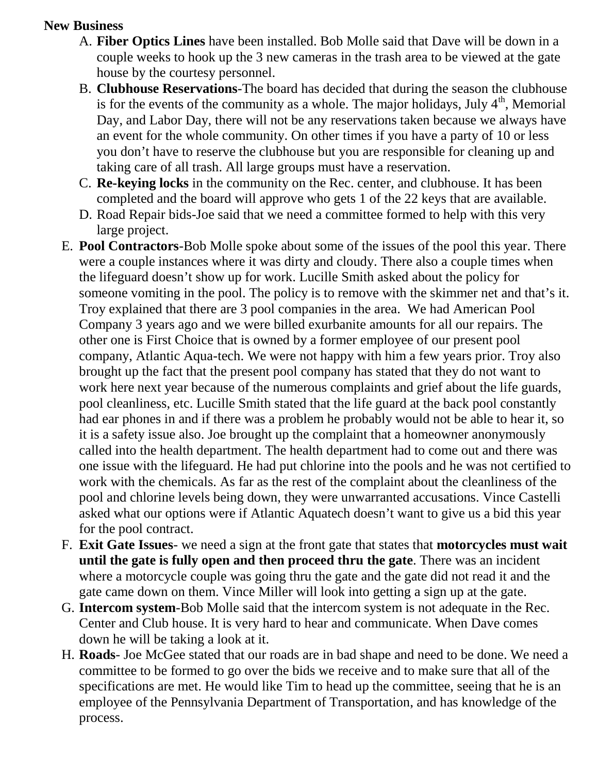## **New Business**

- A. **Fiber Optics Lines** have been installed. Bob Molle said that Dave will be down in a couple weeks to hook up the 3 new cameras in the trash area to be viewed at the gate house by the courtesy personnel.
- B. **Clubhouse Reservations**-The board has decided that during the season the clubhouse is for the events of the community as a whole. The major holidays, July  $4<sup>th</sup>$ , Memorial Day, and Labor Day, there will not be any reservations taken because we always have an event for the whole community. On other times if you have a party of 10 or less you don't have to reserve the clubhouse but you are responsible for cleaning up and taking care of all trash. All large groups must have a reservation.
- C. **Re-keying locks** in the community on the Rec. center, and clubhouse. It has been completed and the board will approve who gets 1 of the 22 keys that are available.
- D. Road Repair bids-Joe said that we need a committee formed to help with this very large project.
- E. **Pool Contractors**-Bob Molle spoke about some of the issues of the pool this year. There were a couple instances where it was dirty and cloudy. There also a couple times when the lifeguard doesn't show up for work. Lucille Smith asked about the policy for someone vomiting in the pool. The policy is to remove with the skimmer net and that's it. Troy explained that there are 3 pool companies in the area. We had American Pool Company 3 years ago and we were billed exurbanite amounts for all our repairs. The other one is First Choice that is owned by a former employee of our present pool company, Atlantic Aqua-tech. We were not happy with him a few years prior. Troy also brought up the fact that the present pool company has stated that they do not want to work here next year because of the numerous complaints and grief about the life guards, pool cleanliness, etc. Lucille Smith stated that the life guard at the back pool constantly had ear phones in and if there was a problem he probably would not be able to hear it, so it is a safety issue also. Joe brought up the complaint that a homeowner anonymously called into the health department. The health department had to come out and there was one issue with the lifeguard. He had put chlorine into the pools and he was not certified to work with the chemicals. As far as the rest of the complaint about the cleanliness of the pool and chlorine levels being down, they were unwarranted accusations. Vince Castelli asked what our options were if Atlantic Aquatech doesn't want to give us a bid this year for the pool contract.
- F. **Exit Gate Issues** we need a sign at the front gate that states that **motorcycles must wait until the gate is fully open and then proceed thru the gate**. There was an incident where a motorcycle couple was going thru the gate and the gate did not read it and the gate came down on them. Vince Miller will look into getting a sign up at the gate.
- G. **Intercom system**-Bob Molle said that the intercom system is not adequate in the Rec. Center and Club house. It is very hard to hear and communicate. When Dave comes down he will be taking a look at it.
- H. **Roads** Joe McGee stated that our roads are in bad shape and need to be done. We need a committee to be formed to go over the bids we receive and to make sure that all of the specifications are met. He would like Tim to head up the committee, seeing that he is an employee of the Pennsylvania Department of Transportation, and has knowledge of the process.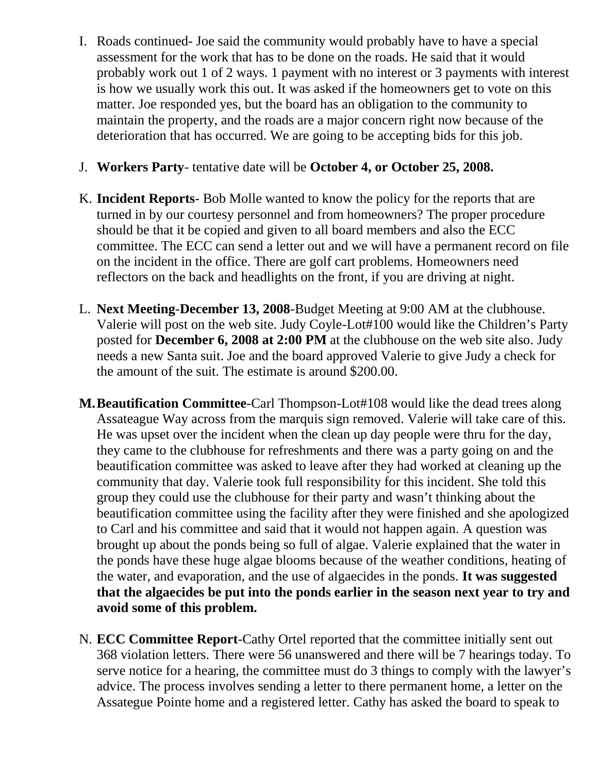- I. Roads continued- Joe said the community would probably have to have a special assessment for the work that has to be done on the roads. He said that it would probably work out 1 of 2 ways. 1 payment with no interest or 3 payments with interest is how we usually work this out. It was asked if the homeowners get to vote on this matter. Joe responded yes, but the board has an obligation to the community to maintain the property, and the roads are a major concern right now because of the deterioration that has occurred. We are going to be accepting bids for this job.
- J. **Workers Party** tentative date will be **October 4, or October 25, 2008.**
- K. **Incident Reports** Bob Molle wanted to know the policy for the reports that are turned in by our courtesy personnel and from homeowners? The proper procedure should be that it be copied and given to all board members and also the ECC committee. The ECC can send a letter out and we will have a permanent record on file on the incident in the office. There are golf cart problems. Homeowners need reflectors on the back and headlights on the front, if you are driving at night.
- L. **Next Meeting**-**December 13, 2008**-Budget Meeting at 9:00 AM at the clubhouse. Valerie will post on the web site. Judy Coyle-Lot#100 would like the Children's Party posted for **December 6, 2008 at 2:00 PM** at the clubhouse on the web site also. Judy needs a new Santa suit. Joe and the board approved Valerie to give Judy a check for the amount of the suit. The estimate is around \$200.00.
- **M.Beautification Committee**-Carl Thompson-Lot#108 would like the dead trees along Assateague Way across from the marquis sign removed. Valerie will take care of this. He was upset over the incident when the clean up day people were thru for the day, they came to the clubhouse for refreshments and there was a party going on and the beautification committee was asked to leave after they had worked at cleaning up the community that day. Valerie took full responsibility for this incident. She told this group they could use the clubhouse for their party and wasn't thinking about the beautification committee using the facility after they were finished and she apologized to Carl and his committee and said that it would not happen again. A question was brought up about the ponds being so full of algae. Valerie explained that the water in the ponds have these huge algae blooms because of the weather conditions, heating of the water, and evaporation, and the use of algaecides in the ponds. **It was suggested that the algaecides be put into the ponds earlier in the season next year to try and avoid some of this problem.**
- N. **ECC Committee Report**-Cathy Ortel reported that the committee initially sent out 368 violation letters. There were 56 unanswered and there will be 7 hearings today. To serve notice for a hearing, the committee must do 3 things to comply with the lawyer's advice. The process involves sending a letter to there permanent home, a letter on the Assategue Pointe home and a registered letter. Cathy has asked the board to speak to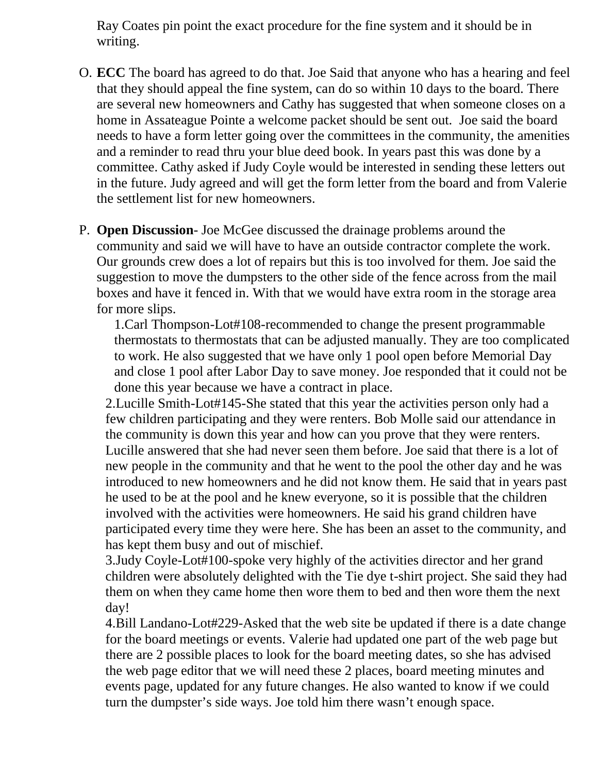Ray Coates pin point the exact procedure for the fine system and it should be in writing.

- O. **ECC** The board has agreed to do that. Joe Said that anyone who has a hearing and feel that they should appeal the fine system, can do so within 10 days to the board. There are several new homeowners and Cathy has suggested that when someone closes on a home in Assateague Pointe a welcome packet should be sent out. Joe said the board needs to have a form letter going over the committees in the community, the amenities and a reminder to read thru your blue deed book. In years past this was done by a committee. Cathy asked if Judy Coyle would be interested in sending these letters out in the future. Judy agreed and will get the form letter from the board and from Valerie the settlement list for new homeowners.
- P. **Open Discussion** Joe McGee discussed the drainage problems around the community and said we will have to have an outside contractor complete the work. Our grounds crew does a lot of repairs but this is too involved for them. Joe said the suggestion to move the dumpsters to the other side of the fence across from the mail boxes and have it fenced in. With that we would have extra room in the storage area for more slips.

1.Carl Thompson-Lot#108-recommended to change the present programmable thermostats to thermostats that can be adjusted manually. They are too complicated to work. He also suggested that we have only 1 pool open before Memorial Day and close 1 pool after Labor Day to save money. Joe responded that it could not be done this year because we have a contract in place.

2.Lucille Smith-Lot#145-She stated that this year the activities person only had a few children participating and they were renters. Bob Molle said our attendance in the community is down this year and how can you prove that they were renters. Lucille answered that she had never seen them before. Joe said that there is a lot of new people in the community and that he went to the pool the other day and he was introduced to new homeowners and he did not know them. He said that in years past he used to be at the pool and he knew everyone, so it is possible that the children involved with the activities were homeowners. He said his grand children have participated every time they were here. She has been an asset to the community, and has kept them busy and out of mischief.

3.Judy Coyle-Lot#100-spoke very highly of the activities director and her grand children were absolutely delighted with the Tie dye t-shirt project. She said they had them on when they came home then wore them to bed and then wore them the next day!

4.Bill Landano-Lot#229-Asked that the web site be updated if there is a date change for the board meetings or events. Valerie had updated one part of the web page but there are 2 possible places to look for the board meeting dates, so she has advised the web page editor that we will need these 2 places, board meeting minutes and events page, updated for any future changes. He also wanted to know if we could turn the dumpster's side ways. Joe told him there wasn't enough space.